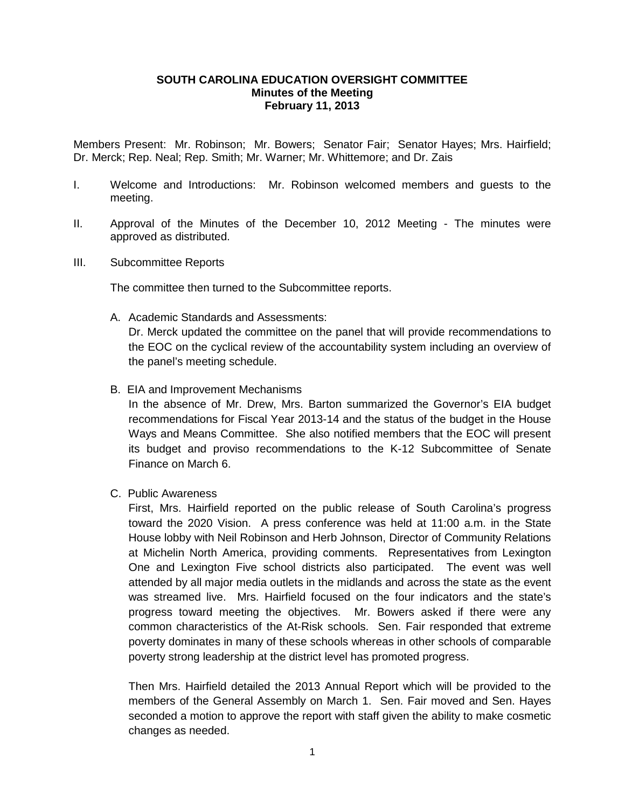### **SOUTH CAROLINA EDUCATION OVERSIGHT COMMITTEE Minutes of the Meeting February 11, 2013**

Members Present: Mr. Robinson; Mr. Bowers; Senator Fair; Senator Hayes; Mrs. Hairfield; Dr. Merck; Rep. Neal; Rep. Smith; Mr. Warner; Mr. Whittemore; and Dr. Zais

- I. Welcome and Introductions: Mr. Robinson welcomed members and guests to the meeting.
- II. Approval of the Minutes of the December 10, 2012 Meeting The minutes were approved as distributed.
- III. Subcommittee Reports

The committee then turned to the Subcommittee reports.

- A. Academic Standards and Assessments: Dr. Merck updated the committee on the panel that will provide recommendations to the EOC on the cyclical review of the accountability system including an overview of the panel's meeting schedule.
- B. EIA and Improvement Mechanisms

In the absence of Mr. Drew, Mrs. Barton summarized the Governor's EIA budget recommendations for Fiscal Year 2013-14 and the status of the budget in the House Ways and Means Committee. She also notified members that the EOC will present its budget and proviso recommendations to the K-12 Subcommittee of Senate Finance on March 6.

C. Public Awareness

First, Mrs. Hairfield reported on the public release of South Carolina's progress toward the 2020 Vision. A press conference was held at 11:00 a.m. in the State House lobby with Neil Robinson and Herb Johnson, Director of Community Relations at Michelin North America, providing comments. Representatives from Lexington One and Lexington Five school districts also participated. The event was well attended by all major media outlets in the midlands and across the state as the event was streamed live. Mrs. Hairfield focused on the four indicators and the state's progress toward meeting the objectives. Mr. Bowers asked if there were any common characteristics of the At-Risk schools. Sen. Fair responded that extreme poverty dominates in many of these schools whereas in other schools of comparable poverty strong leadership at the district level has promoted progress.

Then Mrs. Hairfield detailed the 2013 Annual Report which will be provided to the members of the General Assembly on March 1. Sen. Fair moved and Sen. Hayes seconded a motion to approve the report with staff given the ability to make cosmetic changes as needed.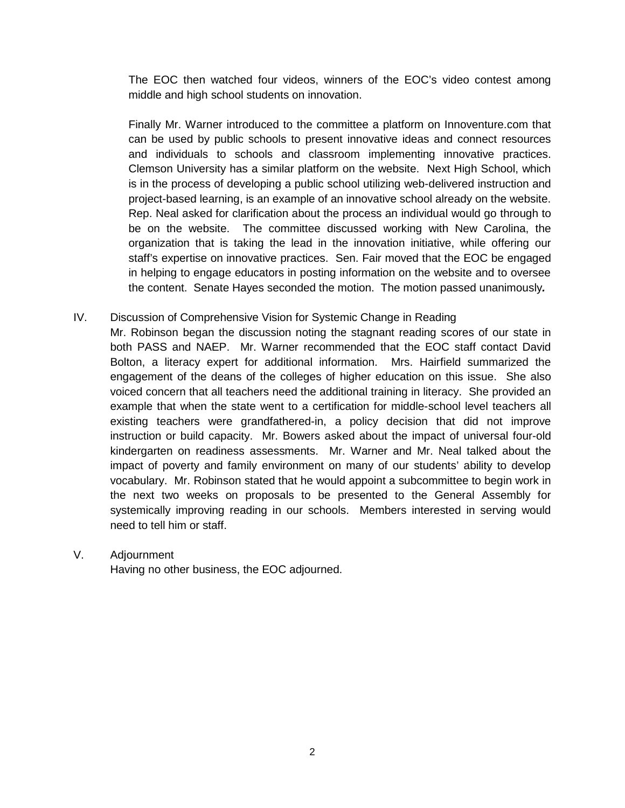The EOC then watched four videos, winners of the EOC's video contest among middle and high school students on innovation.

Finally Mr. Warner introduced to the committee a platform on Innoventure.com that can be used by public schools to present innovative ideas and connect resources and individuals to schools and classroom implementing innovative practices. Clemson University has a similar platform on the website. Next High School, which is in the process of developing a public school utilizing web-delivered instruction and project-based learning, is an example of an innovative school already on the website. Rep. Neal asked for clarification about the process an individual would go through to be on the website. The committee discussed working with New Carolina, the organization that is taking the lead in the innovation initiative, while offering our staff's expertise on innovative practices. Sen. Fair moved that the EOC be engaged in helping to engage educators in posting information on the website and to oversee the content. Senate Hayes seconded the motion. The motion passed unanimously*.*

### IV. Discussion of Comprehensive Vision for Systemic Change in Reading

Mr. Robinson began the discussion noting the stagnant reading scores of our state in both PASS and NAEP. Mr. Warner recommended that the EOC staff contact David Bolton, a literacy expert for additional information. Mrs. Hairfield summarized the engagement of the deans of the colleges of higher education on this issue. She also voiced concern that all teachers need the additional training in literacy. She provided an example that when the state went to a certification for middle-school level teachers all existing teachers were grandfathered-in, a policy decision that did not improve instruction or build capacity. Mr. Bowers asked about the impact of universal four-old kindergarten on readiness assessments. Mr. Warner and Mr. Neal talked about the impact of poverty and family environment on many of our students' ability to develop vocabulary. Mr. Robinson stated that he would appoint a subcommittee to begin work in the next two weeks on proposals to be presented to the General Assembly for systemically improving reading in our schools. Members interested in serving would need to tell him or staff.

### V. Adjournment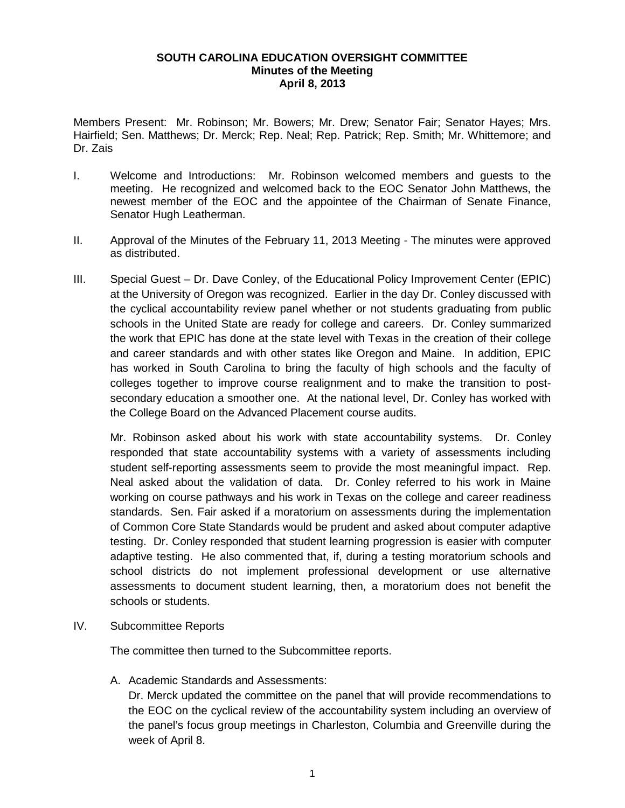#### **SOUTH CAROLINA EDUCATION OVERSIGHT COMMITTEE Minutes of the Meeting April 8, 2013**

Members Present: Mr. Robinson; Mr. Bowers; Mr. Drew; Senator Fair; Senator Hayes; Mrs. Hairfield; Sen. Matthews; Dr. Merck; Rep. Neal; Rep. Patrick; Rep. Smith; Mr. Whittemore; and Dr. Zais

- I. Welcome and Introductions: Mr. Robinson welcomed members and guests to the meeting. He recognized and welcomed back to the EOC Senator John Matthews, the newest member of the EOC and the appointee of the Chairman of Senate Finance, Senator Hugh Leatherman.
- II. Approval of the Minutes of the February 11, 2013 Meeting The minutes were approved as distributed.
- III. Special Guest Dr. Dave Conley, of the Educational Policy Improvement Center (EPIC) at the University of Oregon was recognized. Earlier in the day Dr. Conley discussed with the cyclical accountability review panel whether or not students graduating from public schools in the United State are ready for college and careers. Dr. Conley summarized the work that EPIC has done at the state level with Texas in the creation of their college and career standards and with other states like Oregon and Maine. In addition, EPIC has worked in South Carolina to bring the faculty of high schools and the faculty of colleges together to improve course realignment and to make the transition to postsecondary education a smoother one. At the national level, Dr. Conley has worked with the College Board on the Advanced Placement course audits.

Mr. Robinson asked about his work with state accountability systems. Dr. Conley responded that state accountability systems with a variety of assessments including student self-reporting assessments seem to provide the most meaningful impact. Rep. Neal asked about the validation of data. Dr. Conley referred to his work in Maine working on course pathways and his work in Texas on the college and career readiness standards. Sen. Fair asked if a moratorium on assessments during the implementation of Common Core State Standards would be prudent and asked about computer adaptive testing. Dr. Conley responded that student learning progression is easier with computer adaptive testing. He also commented that, if, during a testing moratorium schools and school districts do not implement professional development or use alternative assessments to document student learning, then, a moratorium does not benefit the schools or students.

IV. Subcommittee Reports

The committee then turned to the Subcommittee reports.

A. Academic Standards and Assessments:

Dr. Merck updated the committee on the panel that will provide recommendations to the EOC on the cyclical review of the accountability system including an overview of the panel's focus group meetings in Charleston, Columbia and Greenville during the week of April 8.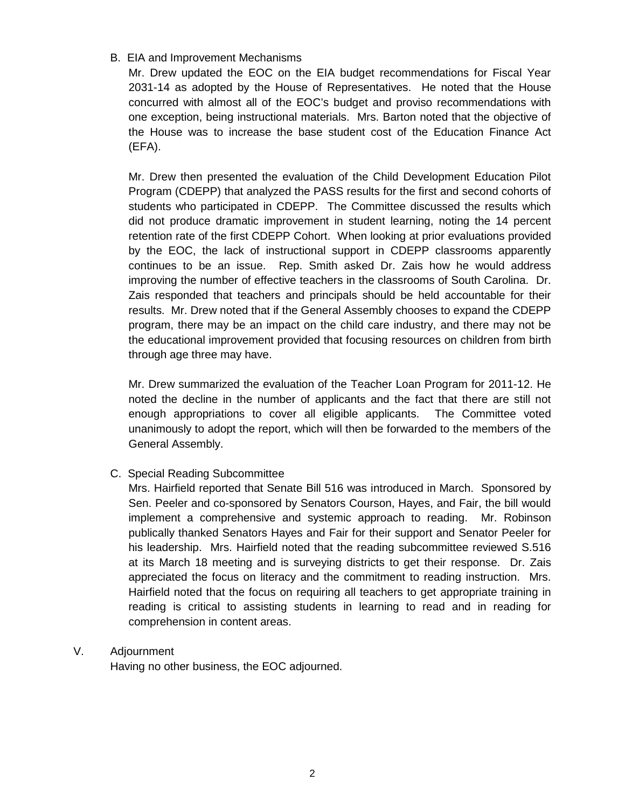## B. EIA and Improvement Mechanisms

Mr. Drew updated the EOC on the EIA budget recommendations for Fiscal Year 2031-14 as adopted by the House of Representatives. He noted that the House concurred with almost all of the EOC's budget and proviso recommendations with one exception, being instructional materials. Mrs. Barton noted that the objective of the House was to increase the base student cost of the Education Finance Act (EFA).

Mr. Drew then presented the evaluation of the Child Development Education Pilot Program (CDEPP) that analyzed the PASS results for the first and second cohorts of students who participated in CDEPP. The Committee discussed the results which did not produce dramatic improvement in student learning, noting the 14 percent retention rate of the first CDEPP Cohort. When looking at prior evaluations provided by the EOC, the lack of instructional support in CDEPP classrooms apparently continues to be an issue. Rep. Smith asked Dr. Zais how he would address improving the number of effective teachers in the classrooms of South Carolina. Dr. Zais responded that teachers and principals should be held accountable for their results. Mr. Drew noted that if the General Assembly chooses to expand the CDEPP program, there may be an impact on the child care industry, and there may not be the educational improvement provided that focusing resources on children from birth through age three may have.

Mr. Drew summarized the evaluation of the Teacher Loan Program for 2011-12. He noted the decline in the number of applicants and the fact that there are still not enough appropriations to cover all eligible applicants. The Committee voted unanimously to adopt the report, which will then be forwarded to the members of the General Assembly.

# C. Special Reading Subcommittee

Mrs. Hairfield reported that Senate Bill 516 was introduced in March. Sponsored by Sen. Peeler and co-sponsored by Senators Courson, Hayes, and Fair, the bill would implement a comprehensive and systemic approach to reading. Mr. Robinson publically thanked Senators Hayes and Fair for their support and Senator Peeler for his leadership. Mrs. Hairfield noted that the reading subcommittee reviewed S.516 at its March 18 meeting and is surveying districts to get their response. Dr. Zais appreciated the focus on literacy and the commitment to reading instruction. Mrs. Hairfield noted that the focus on requiring all teachers to get appropriate training in reading is critical to assisting students in learning to read and in reading for comprehension in content areas.

### V. Adjournment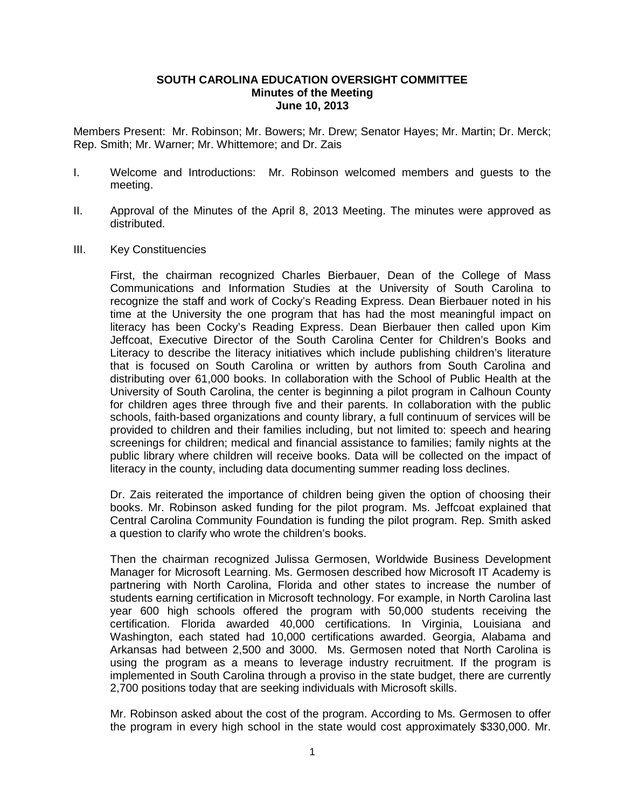#### **SOUTH CAROLINA EDUCATION OVERSIGHT COMMITTEE Minutes of the Meeting June 10, 2013**

Members Present: Mr. Robinson; Mr. Bowers; Mr. Drew; Senator Hayes; Mr. Martin; Dr. Merck; Rep. Smith; Mr. Warner; Mr. Whittemore; and Dr. Zais

- I. Welcome and Introductions: Mr. Robinson welcomed members and guests to the meeting.
- II. Approval of the Minutes of the April 8, 2013 Meeting. The minutes were approved as distributed.
- III. Key Constituencies

First, the chairman recognized Charles Bierbauer, Dean of the College of Mass Communications and Information Studies at the University of South Carolina to recognize the staff and work of Cocky's Reading Express. Dean Bierbauer noted in his time at the University the one program that has had the most meaningful impact on literacy has been Cocky's Reading Express. Dean Bierbauer then called upon Kim Jeffcoat, Executive Director of the South Carolina Center for Children's Books and Literacy to describe the literacy initiatives which include publishing children's literature that is focused on South Carolina or written by authors from South Carolina and distributing over 61,000 books. In collaboration with the School of Public Health at the University of South Carolina, the center is beginning a pilot program in Calhoun County for children ages three through five and their parents. In collaboration with the public schools, faith-based organizations and county library, a full continuum of services will be provided to children and their families including, but not limited to: speech and hearing screenings for children; medical and financial assistance to families; family nights at the public library where children will receive books. Data will be collected on the impact of literacy in the county, including data documenting summer reading loss declines.

Dr. Zais reiterated the importance of children being given the option of choosing their books. Mr. Robinson asked funding for the pilot program. Ms. Jeffcoat explained that Central Carolina Community Foundation is funding the pilot program. Rep. Smith asked a question to clarify who wrote the children's books.

Then the chairman recognized Julissa Germosen, Worldwide Business Development Manager for Microsoft Learning. Ms. Germosen described how Microsoft IT Academy is partnering with North Carolina, Florida and other states to increase the number of students earning certification in Microsoft technology. For example, in North Carolina last year 600 high schools offered the program with 50,000 students receiving the certification. Florida awarded 40,000 certifications. In Virginia, Louisiana and Washington, each stated had 10,000 certifications awarded. Georgia, Alabama and Arkansas had between 2,500 and 3000. Ms. Germosen noted that North Carolina is using the program as a means to leverage industry recruitment. If the program is implemented in South Carolina through a proviso in the state budget, there are currently 2,700 positions today that are seeking individuals with Microsoft skills.

Mr. Robinson asked about the cost of the program. According to Ms. Germosen to offer the program in every high school in the state would cost approximately \$330,000. Mr.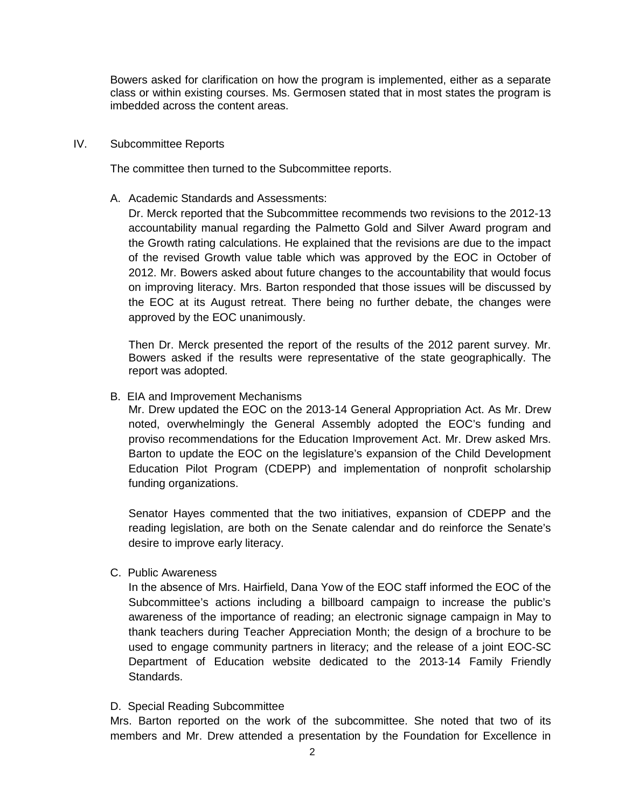Bowers asked for clarification on how the program is implemented, either as a separate class or within existing courses. Ms. Germosen stated that in most states the program is imbedded across the content areas.

#### IV. Subcommittee Reports

The committee then turned to the Subcommittee reports.

A. Academic Standards and Assessments:

Dr. Merck reported that the Subcommittee recommends two revisions to the 2012-13 accountability manual regarding the Palmetto Gold and Silver Award program and the Growth rating calculations. He explained that the revisions are due to the impact of the revised Growth value table which was approved by the EOC in October of 2012. Mr. Bowers asked about future changes to the accountability that would focus on improving literacy. Mrs. Barton responded that those issues will be discussed by the EOC at its August retreat. There being no further debate, the changes were approved by the EOC unanimously.

Then Dr. Merck presented the report of the results of the 2012 parent survey. Mr. Bowers asked if the results were representative of the state geographically. The report was adopted.

B. EIA and Improvement Mechanisms

Mr. Drew updated the EOC on the 2013-14 General Appropriation Act. As Mr. Drew noted, overwhelmingly the General Assembly adopted the EOC's funding and proviso recommendations for the Education Improvement Act. Mr. Drew asked Mrs. Barton to update the EOC on the legislature's expansion of the Child Development Education Pilot Program (CDEPP) and implementation of nonprofit scholarship funding organizations.

Senator Hayes commented that the two initiatives, expansion of CDEPP and the reading legislation, are both on the Senate calendar and do reinforce the Senate's desire to improve early literacy.

C. Public Awareness

In the absence of Mrs. Hairfield, Dana Yow of the EOC staff informed the EOC of the Subcommittee's actions including a billboard campaign to increase the public's awareness of the importance of reading; an electronic signage campaign in May to thank teachers during Teacher Appreciation Month; the design of a brochure to be used to engage community partners in literacy; and the release of a joint EOC-SC Department of Education website dedicated to the 2013-14 Family Friendly Standards.

### D. Special Reading Subcommittee

Mrs. Barton reported on the work of the subcommittee. She noted that two of its members and Mr. Drew attended a presentation by the Foundation for Excellence in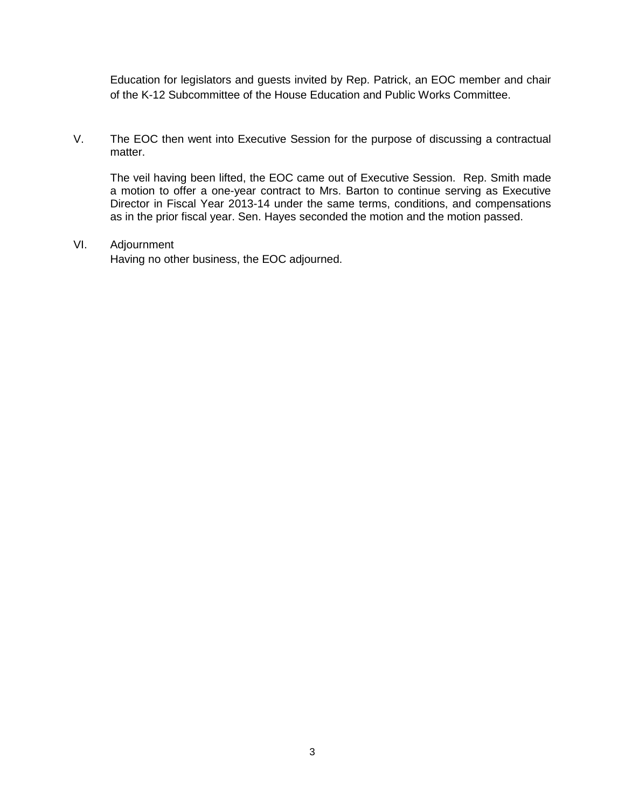Education for legislators and guests invited by Rep. Patrick, an EOC member and chair of the K-12 Subcommittee of the House Education and Public Works Committee.

V. The EOC then went into Executive Session for the purpose of discussing a contractual matter.

The veil having been lifted, the EOC came out of Executive Session. Rep. Smith made a motion to offer a one-year contract to Mrs. Barton to continue serving as Executive Director in Fiscal Year 2013-14 under the same terms, conditions, and compensations as in the prior fiscal year. Sen. Hayes seconded the motion and the motion passed.

VI. Adjournment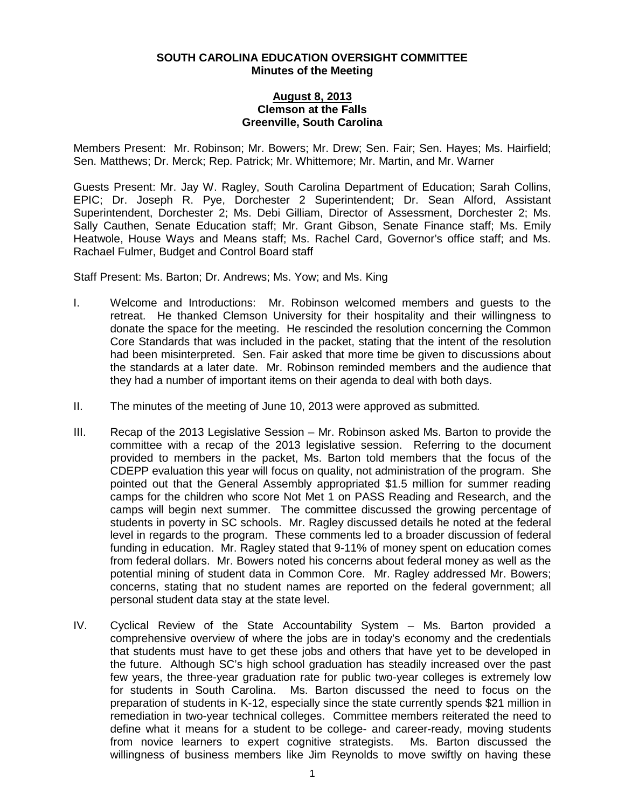#### **SOUTH CAROLINA EDUCATION OVERSIGHT COMMITTEE Minutes of the Meeting**

### **August 8, 2013 Clemson at the Falls Greenville, South Carolina**

Members Present: Mr. Robinson; Mr. Bowers; Mr. Drew; Sen. Fair; Sen. Hayes; Ms. Hairfield; Sen. Matthews; Dr. Merck; Rep. Patrick; Mr. Whittemore; Mr. Martin, and Mr. Warner

Guests Present: Mr. Jay W. Ragley, South Carolina Department of Education; Sarah Collins, EPIC; Dr. Joseph R. Pye, Dorchester 2 Superintendent; Dr. Sean Alford, Assistant Superintendent, Dorchester 2; Ms. Debi Gilliam, Director of Assessment, Dorchester 2; Ms. Sally Cauthen, Senate Education staff; Mr. Grant Gibson, Senate Finance staff; Ms. Emily Heatwole, House Ways and Means staff; Ms. Rachel Card, Governor's office staff; and Ms. Rachael Fulmer, Budget and Control Board staff

Staff Present: Ms. Barton; Dr. Andrews; Ms. Yow; and Ms. King

- I. Welcome and Introductions: Mr. Robinson welcomed members and guests to the retreat. He thanked Clemson University for their hospitality and their willingness to donate the space for the meeting. He rescinded the resolution concerning the Common Core Standards that was included in the packet, stating that the intent of the resolution had been misinterpreted. Sen. Fair asked that more time be given to discussions about the standards at a later date. Mr. Robinson reminded members and the audience that they had a number of important items on their agenda to deal with both days.
- II. The minutes of the meeting of June 10, 2013 were approved as submitted*.*
- III. Recap of the 2013 Legislative Session Mr. Robinson asked Ms. Barton to provide the committee with a recap of the 2013 legislative session. Referring to the document provided to members in the packet, Ms. Barton told members that the focus of the CDEPP evaluation this year will focus on quality, not administration of the program. She pointed out that the General Assembly appropriated \$1.5 million for summer reading camps for the children who score Not Met 1 on PASS Reading and Research, and the camps will begin next summer. The committee discussed the growing percentage of students in poverty in SC schools. Mr. Ragley discussed details he noted at the federal level in regards to the program. These comments led to a broader discussion of federal funding in education. Mr. Ragley stated that 9-11% of money spent on education comes from federal dollars. Mr. Bowers noted his concerns about federal money as well as the potential mining of student data in Common Core. Mr. Ragley addressed Mr. Bowers; concerns, stating that no student names are reported on the federal government; all personal student data stay at the state level.
- IV. Cyclical Review of the State Accountability System Ms. Barton provided a comprehensive overview of where the jobs are in today's economy and the credentials that students must have to get these jobs and others that have yet to be developed in the future. Although SC's high school graduation has steadily increased over the past few years, the three-year graduation rate for public two-year colleges is extremely low for students in South Carolina. Ms. Barton discussed the need to focus on the preparation of students in K-12, especially since the state currently spends \$21 million in remediation in two-year technical colleges. Committee members reiterated the need to define what it means for a student to be college- and career-ready, moving students from novice learners to expert cognitive strategists. Ms. Barton discussed the willingness of business members like Jim Reynolds to move swiftly on having these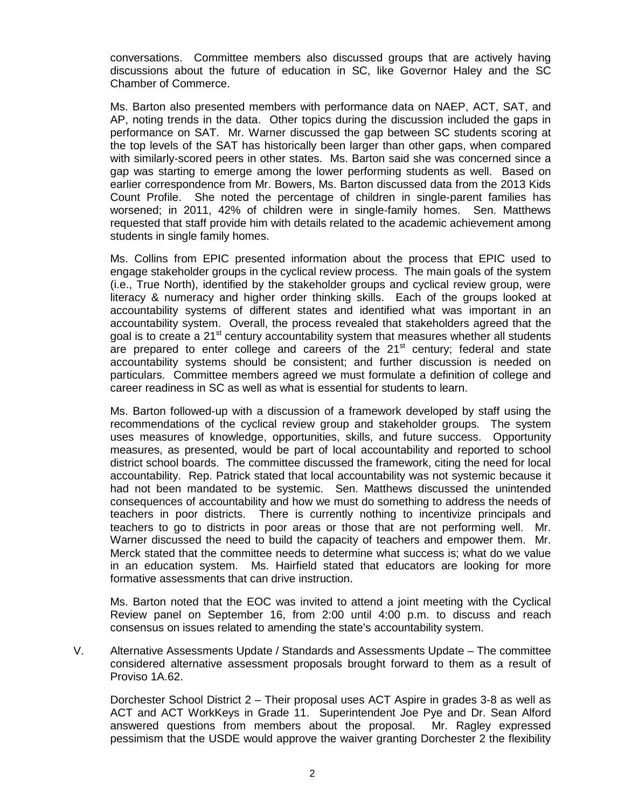conversations. Committee members also discussed groups that are actively having discussions about the future of education in SC, like Governor Haley and the SC Chamber of Commerce.

Ms. Barton also presented members with performance data on NAEP, ACT, SAT, and AP, noting trends in the data. Other topics during the discussion included the gaps in performance on SAT. Mr. Warner discussed the gap between SC students scoring at the top levels of the SAT has historically been larger than other gaps, when compared with similarly-scored peers in other states. Ms. Barton said she was concerned since a gap was starting to emerge among the lower performing students as well. Based on earlier correspondence from Mr. Bowers, Ms. Barton discussed data from the 2013 Kids Count Profile. She noted the percentage of children in single-parent families has worsened; in 2011, 42% of children were in single-family homes. Sen. Matthews requested that staff provide him with details related to the academic achievement among students in single family homes.

Ms. Collins from EPIC presented information about the process that EPIC used to engage stakeholder groups in the cyclical review process. The main goals of the system (i.e., True North), identified by the stakeholder groups and cyclical review group, were literacy & numeracy and higher order thinking skills. Each of the groups looked at accountability systems of different states and identified what was important in an accountability system. Overall, the process revealed that stakeholders agreed that the goal is to create a 21<sup>st</sup> century accountability system that measures whether all students are prepared to enter college and careers of the 21<sup>st</sup> century; federal and state accountability systems should be consistent; and further discussion is needed on particulars. Committee members agreed we must formulate a definition of college and career readiness in SC as well as what is essential for students to learn.

Ms. Barton followed-up with a discussion of a framework developed by staff using the recommendations of the cyclical review group and stakeholder groups. The system uses measures of knowledge, opportunities, skills, and future success. Opportunity measures, as presented, would be part of local accountability and reported to school district school boards. The committee discussed the framework, citing the need for local accountability. Rep. Patrick stated that local accountability was not systemic because it had not been mandated to be systemic. Sen. Matthews discussed the unintended consequences of accountability and how we must do something to address the needs of teachers in poor districts. There is currently nothing to incentivize principals and teachers to go to districts in poor areas or those that are not performing well. Mr. Warner discussed the need to build the capacity of teachers and empower them. Mr. Merck stated that the committee needs to determine what success is; what do we value in an education system. Ms. Hairfield stated that educators are looking for more formative assessments that can drive instruction.

Ms. Barton noted that the EOC was invited to attend a joint meeting with the Cyclical Review panel on September 16, from 2:00 until 4:00 p.m. to discuss and reach consensus on issues related to amending the state's accountability system.

V. Alternative Assessments Update / Standards and Assessments Update – The committee considered alternative assessment proposals brought forward to them as a result of Proviso 1A.62.

Dorchester School District 2 – Their proposal uses ACT Aspire in grades 3-8 as well as ACT and ACT WorkKeys in Grade 11. Superintendent Joe Pye and Dr. Sean Alford answered questions from members about the proposal. Mr. Ragley expressed pessimism that the USDE would approve the waiver granting Dorchester 2 the flexibility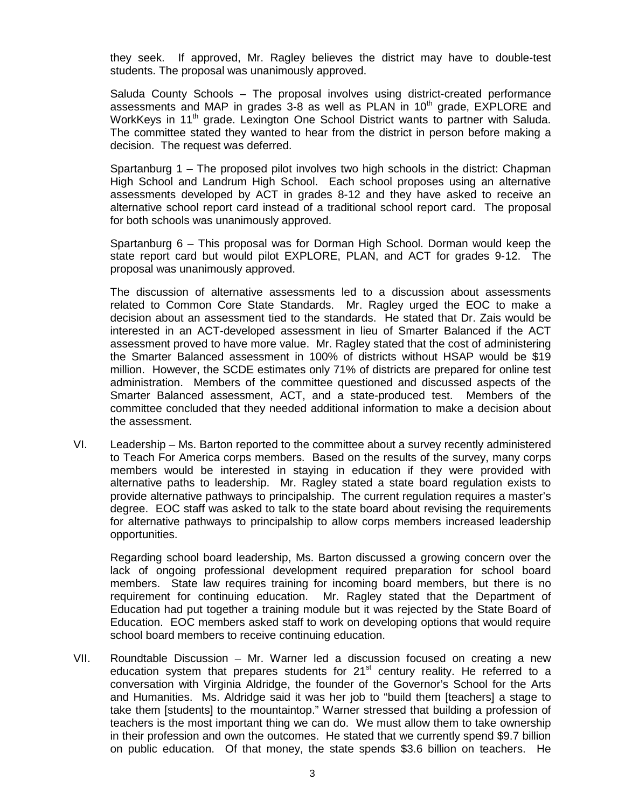they seek. If approved, Mr. Ragley believes the district may have to double-test students. The proposal was unanimously approved.

Saluda County Schools – The proposal involves using district-created performance assessments and MAP in grades 3-8 as well as PLAN in  $10<sup>th</sup>$  grade, EXPLORE and WorkKeys in 11<sup>th</sup> grade. Lexington One School District wants to partner with Saluda. The committee stated they wanted to hear from the district in person before making a decision. The request was deferred.

Spartanburg 1 – The proposed pilot involves two high schools in the district: Chapman High School and Landrum High School. Each school proposes using an alternative assessments developed by ACT in grades 8-12 and they have asked to receive an alternative school report card instead of a traditional school report card. The proposal for both schools was unanimously approved.

Spartanburg 6 – This proposal was for Dorman High School. Dorman would keep the state report card but would pilot EXPLORE, PLAN, and ACT for grades 9-12. The proposal was unanimously approved.

The discussion of alternative assessments led to a discussion about assessments related to Common Core State Standards. Mr. Ragley urged the EOC to make a decision about an assessment tied to the standards. He stated that Dr. Zais would be interested in an ACT-developed assessment in lieu of Smarter Balanced if the ACT assessment proved to have more value. Mr. Ragley stated that the cost of administering the Smarter Balanced assessment in 100% of districts without HSAP would be \$19 million. However, the SCDE estimates only 71% of districts are prepared for online test administration. Members of the committee questioned and discussed aspects of the Smarter Balanced assessment, ACT, and a state-produced test. Members of the committee concluded that they needed additional information to make a decision about the assessment.

VI. Leadership – Ms. Barton reported to the committee about a survey recently administered to Teach For America corps members. Based on the results of the survey, many corps members would be interested in staying in education if they were provided with alternative paths to leadership. Mr. Ragley stated a state board regulation exists to provide alternative pathways to principalship. The current regulation requires a master's degree. EOC staff was asked to talk to the state board about revising the requirements for alternative pathways to principalship to allow corps members increased leadership opportunities.

Regarding school board leadership, Ms. Barton discussed a growing concern over the lack of ongoing professional development required preparation for school board members. State law requires training for incoming board members, but there is no requirement for continuing education. Mr. Ragley stated that the Department of Education had put together a training module but it was rejected by the State Board of Education. EOC members asked staff to work on developing options that would require school board members to receive continuing education.

VII. Roundtable Discussion – Mr. Warner led a discussion focused on creating a new education system that prepares students for  $21<sup>st</sup>$  century reality. He referred to a conversation with Virginia Aldridge, the founder of the Governor's School for the Arts and Humanities. Ms. Aldridge said it was her job to "build them [teachers] a stage to take them [students] to the mountaintop." Warner stressed that building a profession of teachers is the most important thing we can do. We must allow them to take ownership in their profession and own the outcomes. He stated that we currently spend \$9.7 billion on public education. Of that money, the state spends \$3.6 billion on teachers. He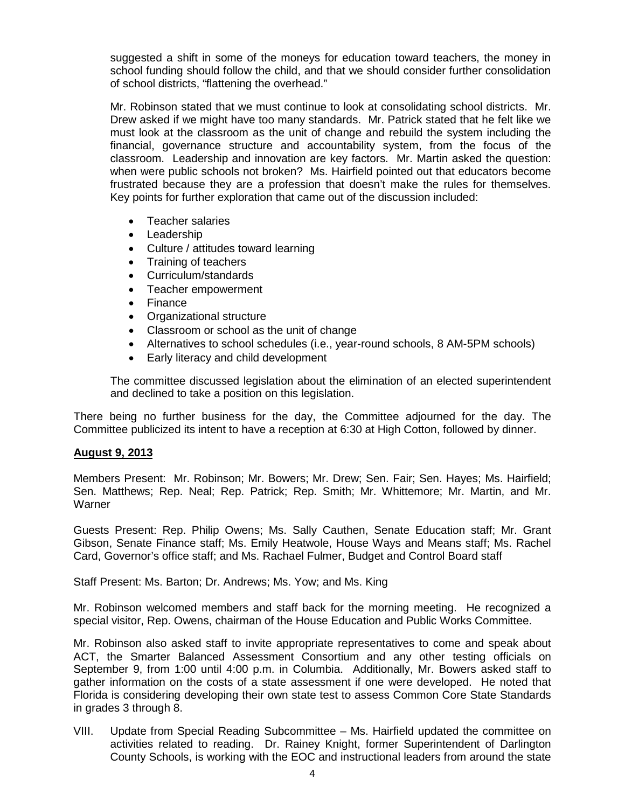suggested a shift in some of the moneys for education toward teachers, the money in school funding should follow the child, and that we should consider further consolidation of school districts, "flattening the overhead."

Mr. Robinson stated that we must continue to look at consolidating school districts. Mr. Drew asked if we might have too many standards. Mr. Patrick stated that he felt like we must look at the classroom as the unit of change and rebuild the system including the financial, governance structure and accountability system, from the focus of the classroom. Leadership and innovation are key factors. Mr. Martin asked the question: when were public schools not broken? Ms. Hairfield pointed out that educators become frustrated because they are a profession that doesn't make the rules for themselves. Key points for further exploration that came out of the discussion included:

- Teacher salaries
- Leadership
- Culture / attitudes toward learning
- Training of teachers
- Curriculum/standards
- Teacher empowerment
- Finance
- Organizational structure
- Classroom or school as the unit of change
- Alternatives to school schedules (i.e., year-round schools, 8 AM-5PM schools)
- Early literacy and child development

The committee discussed legislation about the elimination of an elected superintendent and declined to take a position on this legislation.

There being no further business for the day, the Committee adjourned for the day. The Committee publicized its intent to have a reception at 6:30 at High Cotton, followed by dinner.

### **August 9, 2013**

Members Present: Mr. Robinson; Mr. Bowers; Mr. Drew; Sen. Fair; Sen. Hayes; Ms. Hairfield; Sen. Matthews; Rep. Neal; Rep. Patrick; Rep. Smith; Mr. Whittemore; Mr. Martin, and Mr. Warner

Guests Present: Rep. Philip Owens; Ms. Sally Cauthen, Senate Education staff; Mr. Grant Gibson, Senate Finance staff; Ms. Emily Heatwole, House Ways and Means staff; Ms. Rachel Card, Governor's office staff; and Ms. Rachael Fulmer, Budget and Control Board staff

Staff Present: Ms. Barton; Dr. Andrews; Ms. Yow; and Ms. King

Mr. Robinson welcomed members and staff back for the morning meeting. He recognized a special visitor, Rep. Owens, chairman of the House Education and Public Works Committee.

Mr. Robinson also asked staff to invite appropriate representatives to come and speak about ACT, the Smarter Balanced Assessment Consortium and any other testing officials on September 9, from 1:00 until 4:00 p.m. in Columbia. Additionally, Mr. Bowers asked staff to gather information on the costs of a state assessment if one were developed. He noted that Florida is considering developing their own state test to assess Common Core State Standards in grades 3 through 8.

VIII. Update from Special Reading Subcommittee – Ms. Hairfield updated the committee on activities related to reading. Dr. Rainey Knight, former Superintendent of Darlington County Schools, is working with the EOC and instructional leaders from around the state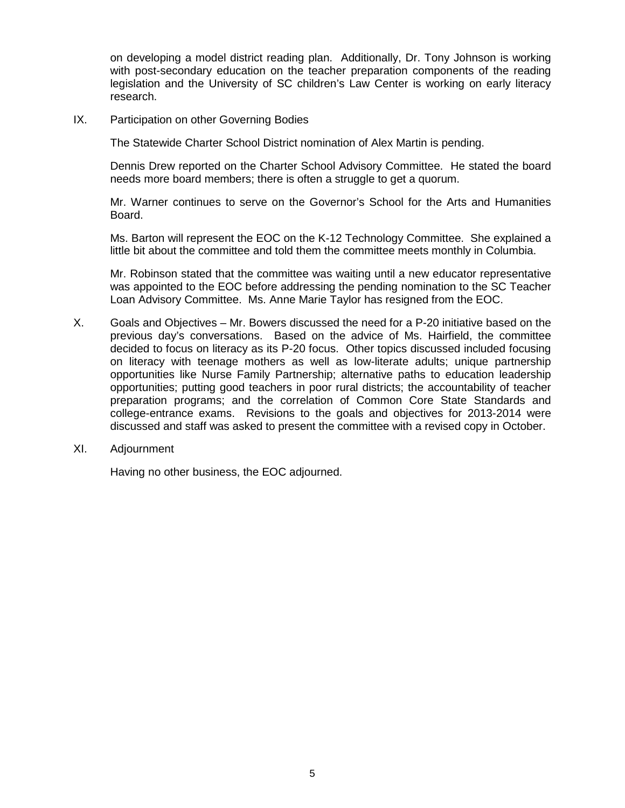on developing a model district reading plan. Additionally, Dr. Tony Johnson is working with post-secondary education on the teacher preparation components of the reading legislation and the University of SC children's Law Center is working on early literacy research.

IX. Participation on other Governing Bodies

The Statewide Charter School District nomination of Alex Martin is pending.

Dennis Drew reported on the Charter School Advisory Committee. He stated the board needs more board members; there is often a struggle to get a quorum.

Mr. Warner continues to serve on the Governor's School for the Arts and Humanities Board.

Ms. Barton will represent the EOC on the K-12 Technology Committee. She explained a little bit about the committee and told them the committee meets monthly in Columbia.

Mr. Robinson stated that the committee was waiting until a new educator representative was appointed to the EOC before addressing the pending nomination to the SC Teacher Loan Advisory Committee. Ms. Anne Marie Taylor has resigned from the EOC.

- X. Goals and Objectives Mr. Bowers discussed the need for a P-20 initiative based on the previous day's conversations. Based on the advice of Ms. Hairfield, the committee decided to focus on literacy as its P-20 focus. Other topics discussed included focusing on literacy with teenage mothers as well as low-literate adults; unique partnership opportunities like Nurse Family Partnership; alternative paths to education leadership opportunities; putting good teachers in poor rural districts; the accountability of teacher preparation programs; and the correlation of Common Core State Standards and college-entrance exams. Revisions to the goals and objectives for 2013-2014 were discussed and staff was asked to present the committee with a revised copy in October.
- XI. Adjournment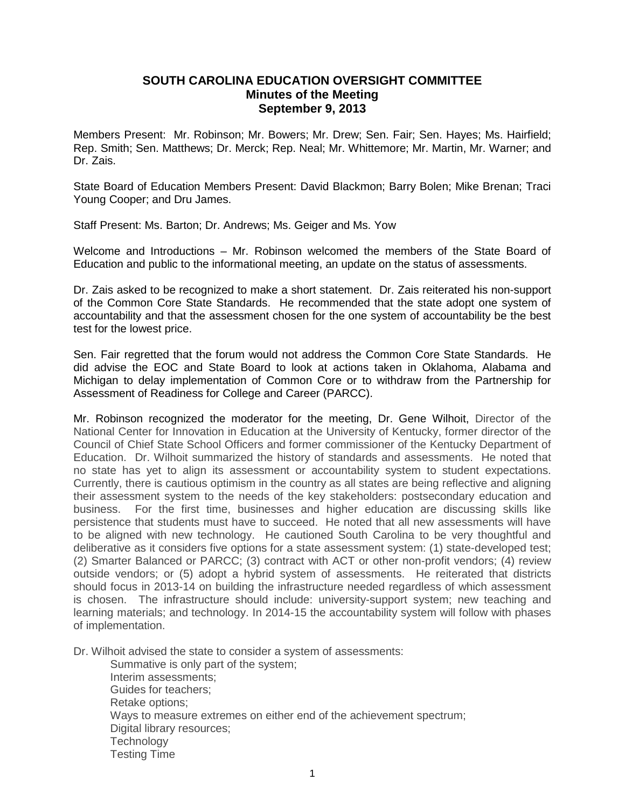## **SOUTH CAROLINA EDUCATION OVERSIGHT COMMITTEE Minutes of the Meeting September 9, 2013**

Members Present: Mr. Robinson; Mr. Bowers; Mr. Drew; Sen. Fair; Sen. Hayes; Ms. Hairfield; Rep. Smith; Sen. Matthews; Dr. Merck; Rep. Neal; Mr. Whittemore; Mr. Martin, Mr. Warner; and Dr. Zais.

State Board of Education Members Present: David Blackmon; Barry Bolen; Mike Brenan; Traci Young Cooper; and Dru James.

Staff Present: Ms. Barton; Dr. Andrews; Ms. Geiger and Ms. Yow

Welcome and Introductions – Mr. Robinson welcomed the members of the State Board of Education and public to the informational meeting, an update on the status of assessments.

Dr. Zais asked to be recognized to make a short statement. Dr. Zais reiterated his non-support of the Common Core State Standards. He recommended that the state adopt one system of accountability and that the assessment chosen for the one system of accountability be the best test for the lowest price.

Sen. Fair regretted that the forum would not address the Common Core State Standards. He did advise the EOC and State Board to look at actions taken in Oklahoma, Alabama and Michigan to delay implementation of Common Core or to withdraw from the Partnership for Assessment of Readiness for College and Career (PARCC).

Mr. Robinson recognized the moderator for the meeting, Dr. Gene Wilhoit, Director of the National Center for Innovation in Education at the University of Kentucky, former director of the Council of Chief State School Officers and former commissioner of the Kentucky Department of Education. Dr. Wilhoit summarized the history of standards and assessments. He noted that no state has yet to align its assessment or accountability system to student expectations. Currently, there is cautious optimism in the country as all states are being reflective and aligning their assessment system to the needs of the key stakeholders: postsecondary education and business. For the first time, businesses and higher education are discussing skills like persistence that students must have to succeed. He noted that all new assessments will have to be aligned with new technology. He cautioned South Carolina to be very thoughtful and deliberative as it considers five options for a state assessment system: (1) state-developed test; (2) Smarter Balanced or PARCC; (3) contract with ACT or other non-profit vendors; (4) review outside vendors; or (5) adopt a hybrid system of assessments. He reiterated that districts should focus in 2013-14 on building the infrastructure needed regardless of which assessment is chosen. The infrastructure should include: university-support system; new teaching and learning materials; and technology. In 2014-15 the accountability system will follow with phases of implementation.

Dr. Wilhoit advised the state to consider a system of assessments:

Summative is only part of the system; Interim assessments; Guides for teachers; Retake options; Ways to measure extremes on either end of the achievement spectrum; Digital library resources; **Technology** Testing Time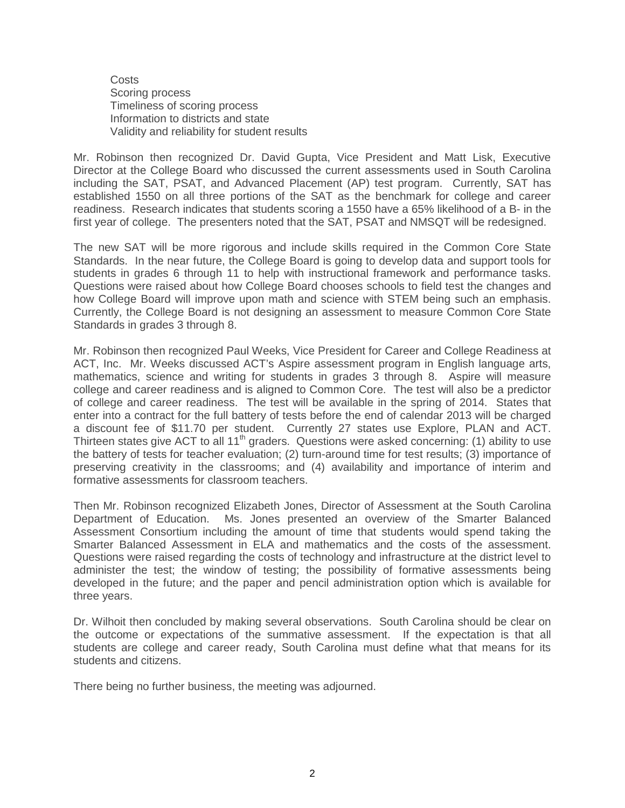**Costs** Scoring process Timeliness of scoring process Information to districts and state Validity and reliability for student results

Mr. Robinson then recognized Dr. David Gupta, Vice President and Matt Lisk, Executive Director at the College Board who discussed the current assessments used in South Carolina including the SAT, PSAT, and Advanced Placement (AP) test program. Currently, SAT has established 1550 on all three portions of the SAT as the benchmark for college and career readiness. Research indicates that students scoring a 1550 have a 65% likelihood of a B- in the first year of college. The presenters noted that the SAT, PSAT and NMSQT will be redesigned.

The new SAT will be more rigorous and include skills required in the Common Core State Standards. In the near future, the College Board is going to develop data and support tools for students in grades 6 through 11 to help with instructional framework and performance tasks. Questions were raised about how College Board chooses schools to field test the changes and how College Board will improve upon math and science with STEM being such an emphasis. Currently, the College Board is not designing an assessment to measure Common Core State Standards in grades 3 through 8.

Mr. Robinson then recognized Paul Weeks, Vice President for Career and College Readiness at ACT, Inc. Mr. Weeks discussed ACT's Aspire assessment program in English language arts, mathematics, science and writing for students in grades 3 through 8. Aspire will measure college and career readiness and is aligned to Common Core. The test will also be a predictor of college and career readiness. The test will be available in the spring of 2014. States that enter into a contract for the full battery of tests before the end of calendar 2013 will be charged a discount fee of \$11.70 per student. Currently 27 states use Explore, PLAN and ACT. Thirteen states give ACT to all 11<sup>th</sup> graders. Questions were asked concerning: (1) ability to use the battery of tests for teacher evaluation; (2) turn-around time for test results; (3) importance of preserving creativity in the classrooms; and (4) availability and importance of interim and formative assessments for classroom teachers.

Then Mr. Robinson recognized Elizabeth Jones, Director of Assessment at the South Carolina Department of Education. Ms. Jones presented an overview of the Smarter Balanced Assessment Consortium including the amount of time that students would spend taking the Smarter Balanced Assessment in ELA and mathematics and the costs of the assessment. Questions were raised regarding the costs of technology and infrastructure at the district level to administer the test; the window of testing; the possibility of formative assessments being developed in the future; and the paper and pencil administration option which is available for three years.

Dr. Wilhoit then concluded by making several observations. South Carolina should be clear on the outcome or expectations of the summative assessment. If the expectation is that all students are college and career ready, South Carolina must define what that means for its students and citizens.

There being no further business, the meeting was adjourned.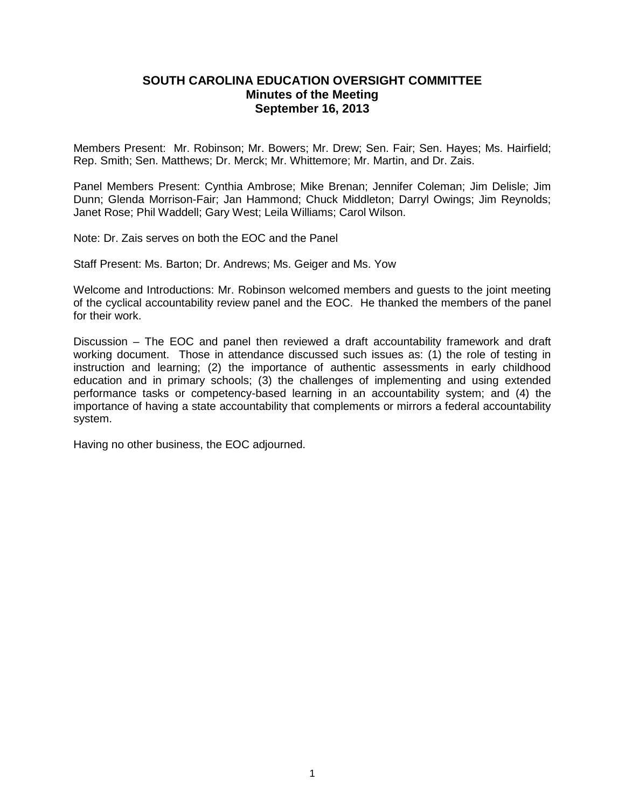## **SOUTH CAROLINA EDUCATION OVERSIGHT COMMITTEE Minutes of the Meeting September 16, 2013**

Members Present: Mr. Robinson; Mr. Bowers; Mr. Drew; Sen. Fair; Sen. Hayes; Ms. Hairfield; Rep. Smith; Sen. Matthews; Dr. Merck; Mr. Whittemore; Mr. Martin, and Dr. Zais.

Panel Members Present: Cynthia Ambrose; Mike Brenan; Jennifer Coleman; Jim Delisle; Jim Dunn; Glenda Morrison-Fair; Jan Hammond; Chuck Middleton; Darryl Owings; Jim Reynolds; Janet Rose; Phil Waddell; Gary West; Leila Williams; Carol Wilson.

Note: Dr. Zais serves on both the EOC and the Panel

Staff Present: Ms. Barton; Dr. Andrews; Ms. Geiger and Ms. Yow

Welcome and Introductions: Mr. Robinson welcomed members and guests to the joint meeting of the cyclical accountability review panel and the EOC. He thanked the members of the panel for their work.

Discussion – The EOC and panel then reviewed a draft accountability framework and draft working document. Those in attendance discussed such issues as: (1) the role of testing in instruction and learning; (2) the importance of authentic assessments in early childhood education and in primary schools; (3) the challenges of implementing and using extended performance tasks or competency-based learning in an accountability system; and (4) the importance of having a state accountability that complements or mirrors a federal accountability system.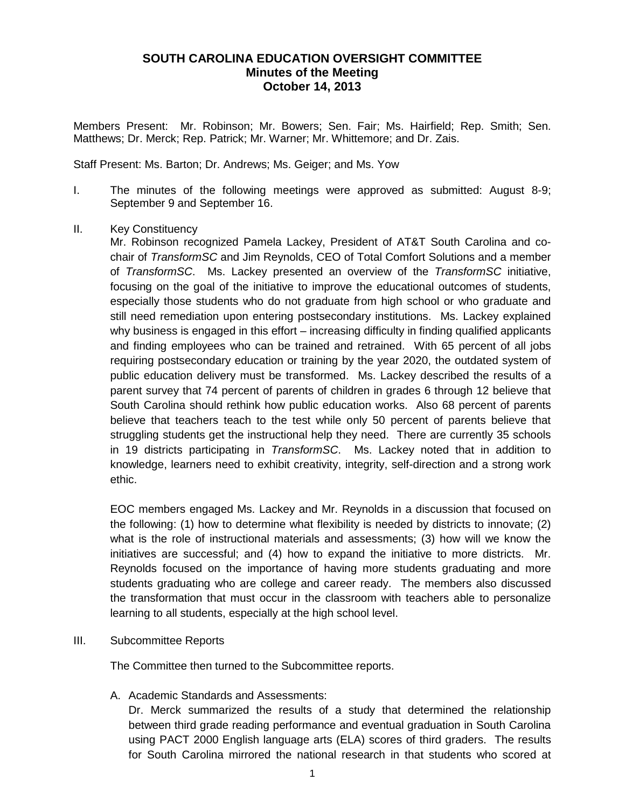# **SOUTH CAROLINA EDUCATION OVERSIGHT COMMITTEE Minutes of the Meeting October 14, 2013**

Members Present: Mr. Robinson; Mr. Bowers; Sen. Fair; Ms. Hairfield; Rep. Smith; Sen. Matthews; Dr. Merck; Rep. Patrick; Mr. Warner; Mr. Whittemore; and Dr. Zais.

Staff Present: Ms. Barton; Dr. Andrews; Ms. Geiger; and Ms. Yow

- I. The minutes of the following meetings were approved as submitted: August 8-9; September 9 and September 16.
- II. Key Constituency

Mr. Robinson recognized Pamela Lackey, President of AT&T South Carolina and cochair of *TransformSC* and Jim Reynolds, CEO of Total Comfort Solutions and a member of *TransformSC*. Ms. Lackey presented an overview of the *TransformSC* initiative, focusing on the goal of the initiative to improve the educational outcomes of students, especially those students who do not graduate from high school or who graduate and still need remediation upon entering postsecondary institutions. Ms. Lackey explained why business is engaged in this effort – increasing difficulty in finding qualified applicants and finding employees who can be trained and retrained. With 65 percent of all jobs requiring postsecondary education or training by the year 2020, the outdated system of public education delivery must be transformed. Ms. Lackey described the results of a parent survey that 74 percent of parents of children in grades 6 through 12 believe that South Carolina should rethink how public education works. Also 68 percent of parents believe that teachers teach to the test while only 50 percent of parents believe that struggling students get the instructional help they need. There are currently 35 schools in 19 districts participating in *TransformSC*. Ms. Lackey noted that in addition to knowledge, learners need to exhibit creativity, integrity, self-direction and a strong work ethic.

EOC members engaged Ms. Lackey and Mr. Reynolds in a discussion that focused on the following: (1) how to determine what flexibility is needed by districts to innovate; (2) what is the role of instructional materials and assessments; (3) how will we know the initiatives are successful; and (4) how to expand the initiative to more districts. Mr. Reynolds focused on the importance of having more students graduating and more students graduating who are college and career ready. The members also discussed the transformation that must occur in the classroom with teachers able to personalize learning to all students, especially at the high school level.

III. Subcommittee Reports

The Committee then turned to the Subcommittee reports.

A. Academic Standards and Assessments:

Dr. Merck summarized the results of a study that determined the relationship between third grade reading performance and eventual graduation in South Carolina using PACT 2000 English language arts (ELA) scores of third graders. The results for South Carolina mirrored the national research in that students who scored at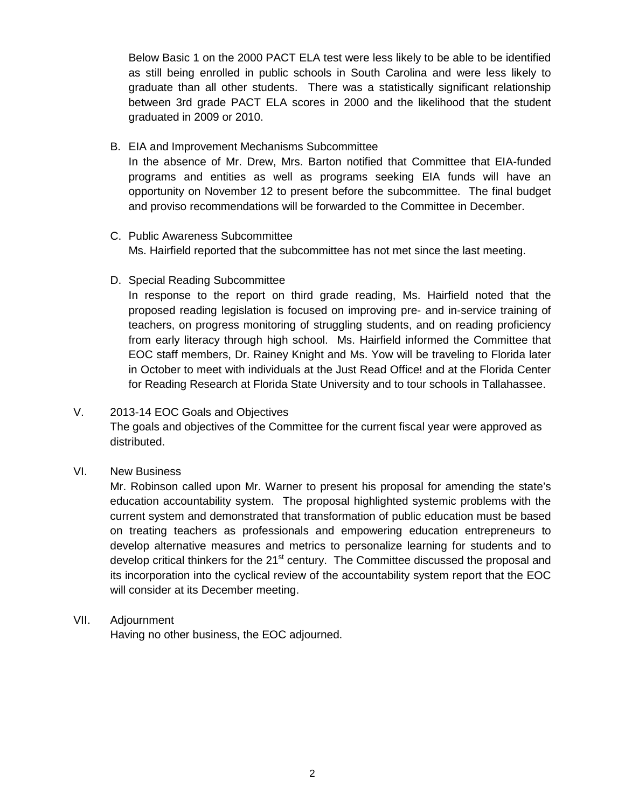Below Basic 1 on the 2000 PACT ELA test were less likely to be able to be identified as still being enrolled in public schools in South Carolina and were less likely to graduate than all other students. There was a statistically significant relationship between 3rd grade PACT ELA scores in 2000 and the likelihood that the student graduated in 2009 or 2010.

B. EIA and Improvement Mechanisms Subcommittee

In the absence of Mr. Drew, Mrs. Barton notified that Committee that EIA-funded programs and entities as well as programs seeking EIA funds will have an opportunity on November 12 to present before the subcommittee. The final budget and proviso recommendations will be forwarded to the Committee in December.

- C. Public Awareness Subcommittee Ms. Hairfield reported that the subcommittee has not met since the last meeting.
- D. Special Reading Subcommittee

In response to the report on third grade reading, Ms. Hairfield noted that the proposed reading legislation is focused on improving pre- and in-service training of teachers, on progress monitoring of struggling students, and on reading proficiency from early literacy through high school. Ms. Hairfield informed the Committee that EOC staff members, Dr. Rainey Knight and Ms. Yow will be traveling to Florida later in October to meet with individuals at the Just Read Office! and at the Florida Center for Reading Research at Florida State University and to tour schools in Tallahassee.

V. 2013-14 EOC Goals and Objectives

The goals and objectives of the Committee for the current fiscal year were approved as distributed.

VI. New Business

Mr. Robinson called upon Mr. Warner to present his proposal for amending the state's education accountability system. The proposal highlighted systemic problems with the current system and demonstrated that transformation of public education must be based on treating teachers as professionals and empowering education entrepreneurs to develop alternative measures and metrics to personalize learning for students and to develop critical thinkers for the 21<sup>st</sup> century. The Committee discussed the proposal and its incorporation into the cyclical review of the accountability system report that the EOC will consider at its December meeting.

VII. Adjournment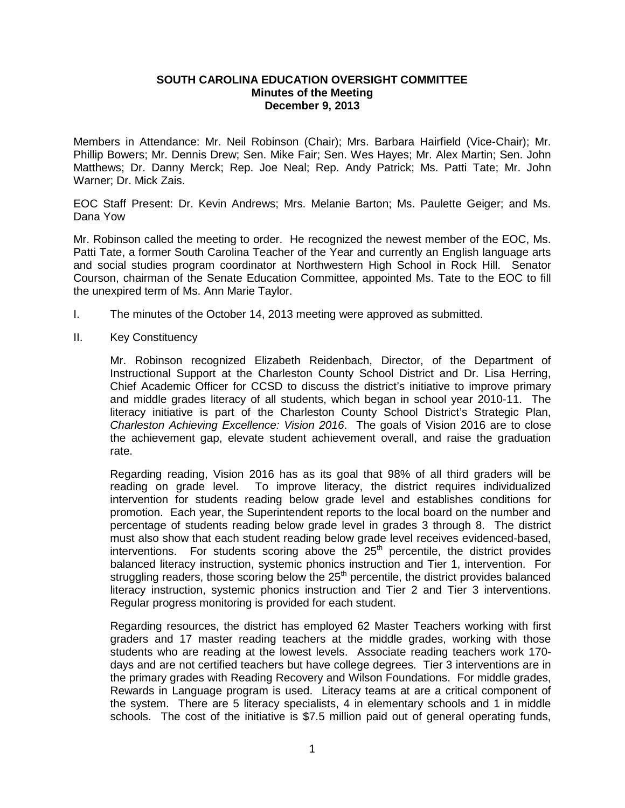#### **SOUTH CAROLINA EDUCATION OVERSIGHT COMMITTEE Minutes of the Meeting December 9, 2013**

Members in Attendance: Mr. Neil Robinson (Chair); Mrs. Barbara Hairfield (Vice-Chair); Mr. Phillip Bowers; Mr. Dennis Drew; Sen. Mike Fair; Sen. Wes Hayes; Mr. Alex Martin; Sen. John Matthews; Dr. Danny Merck; Rep. Joe Neal; Rep. Andy Patrick; Ms. Patti Tate; Mr. John Warner; Dr. Mick Zais.

EOC Staff Present: Dr. Kevin Andrews; Mrs. Melanie Barton; Ms. Paulette Geiger; and Ms. Dana Yow

Mr. Robinson called the meeting to order. He recognized the newest member of the EOC, Ms. Patti Tate, a former South Carolina Teacher of the Year and currently an English language arts and social studies program coordinator at Northwestern High School in Rock Hill. Senator Courson, chairman of the Senate Education Committee, appointed Ms. Tate to the EOC to fill the unexpired term of Ms. Ann Marie Taylor.

- I. The minutes of the October 14, 2013 meeting were approved as submitted.
- II. Key Constituency

Mr. Robinson recognized Elizabeth Reidenbach, Director, of the Department of Instructional Support at the Charleston County School District and Dr. Lisa Herring, Chief Academic Officer for CCSD to discuss the district's initiative to improve primary and middle grades literacy of all students, which began in school year 2010-11. The literacy initiative is part of the Charleston County School District's Strategic Plan, *Charleston Achieving Excellence: Vision 2016*. The goals of Vision 2016 are to close the achievement gap, elevate student achievement overall, and raise the graduation rate.

Regarding reading, Vision 2016 has as its goal that 98% of all third graders will be reading on grade level. To improve literacy, the district requires individualized intervention for students reading below grade level and establishes conditions for promotion. Each year, the Superintendent reports to the local board on the number and percentage of students reading below grade level in grades 3 through 8. The district must also show that each student reading below grade level receives evidenced-based,  $interv$ entions. For students scoring above the  $25<sup>th</sup>$  percentile, the district provides balanced literacy instruction, systemic phonics instruction and Tier 1, intervention. For struggling readers, those scoring below the 25<sup>th</sup> percentile, the district provides balanced literacy instruction, systemic phonics instruction and Tier 2 and Tier 3 interventions. Regular progress monitoring is provided for each student.

Regarding resources, the district has employed 62 Master Teachers working with first graders and 17 master reading teachers at the middle grades, working with those students who are reading at the lowest levels. Associate reading teachers work 170 days and are not certified teachers but have college degrees. Tier 3 interventions are in the primary grades with Reading Recovery and Wilson Foundations. For middle grades, Rewards in Language program is used. Literacy teams at are a critical component of the system. There are 5 literacy specialists, 4 in elementary schools and 1 in middle schools. The cost of the initiative is \$7.5 million paid out of general operating funds,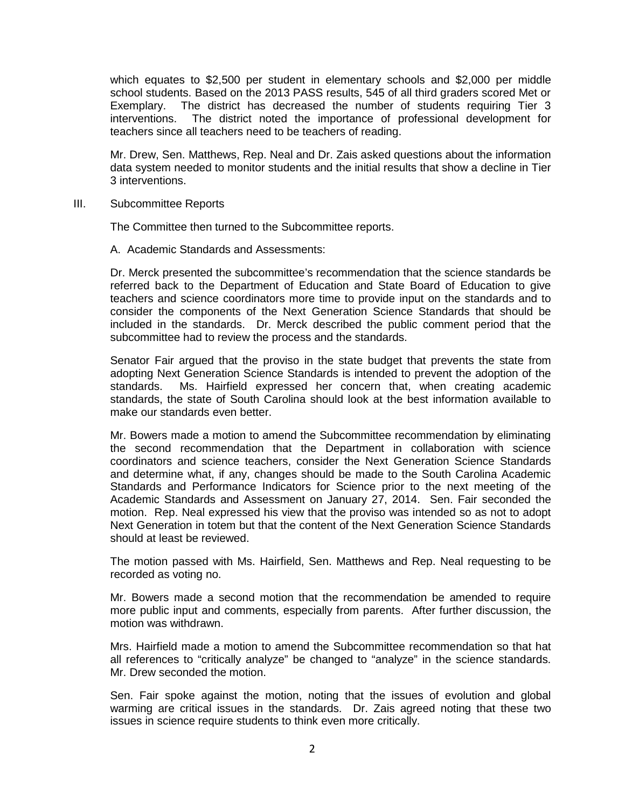which equates to \$2,500 per student in elementary schools and \$2,000 per middle school students. Based on the 2013 PASS results, 545 of all third graders scored Met or Exemplary. The district has decreased the number of students requiring Tier 3 interventions. The district noted the importance of professional development for teachers since all teachers need to be teachers of reading.

Mr. Drew, Sen. Matthews, Rep. Neal and Dr. Zais asked questions about the information data system needed to monitor students and the initial results that show a decline in Tier 3 interventions.

III. Subcommittee Reports

The Committee then turned to the Subcommittee reports.

A. Academic Standards and Assessments:

Dr. Merck presented the subcommittee's recommendation that the science standards be referred back to the Department of Education and State Board of Education to give teachers and science coordinators more time to provide input on the standards and to consider the components of the Next Generation Science Standards that should be included in the standards. Dr. Merck described the public comment period that the subcommittee had to review the process and the standards.

Senator Fair argued that the proviso in the state budget that prevents the state from adopting Next Generation Science Standards is intended to prevent the adoption of the standards. Ms. Hairfield expressed her concern that, when creating academic standards, the state of South Carolina should look at the best information available to make our standards even better.

Mr. Bowers made a motion to amend the Subcommittee recommendation by eliminating the second recommendation that the Department in collaboration with science coordinators and science teachers, consider the Next Generation Science Standards and determine what, if any, changes should be made to the South Carolina Academic Standards and Performance Indicators for Science prior to the next meeting of the Academic Standards and Assessment on January 27, 2014. Sen. Fair seconded the motion. Rep. Neal expressed his view that the proviso was intended so as not to adopt Next Generation in totem but that the content of the Next Generation Science Standards should at least be reviewed.

The motion passed with Ms. Hairfield, Sen. Matthews and Rep. Neal requesting to be recorded as voting no.

Mr. Bowers made a second motion that the recommendation be amended to require more public input and comments, especially from parents. After further discussion, the motion was withdrawn.

Mrs. Hairfield made a motion to amend the Subcommittee recommendation so that hat all references to "critically analyze" be changed to "analyze" in the science standards. Mr. Drew seconded the motion.

Sen. Fair spoke against the motion, noting that the issues of evolution and global warming are critical issues in the standards. Dr. Zais agreed noting that these two issues in science require students to think even more critically.